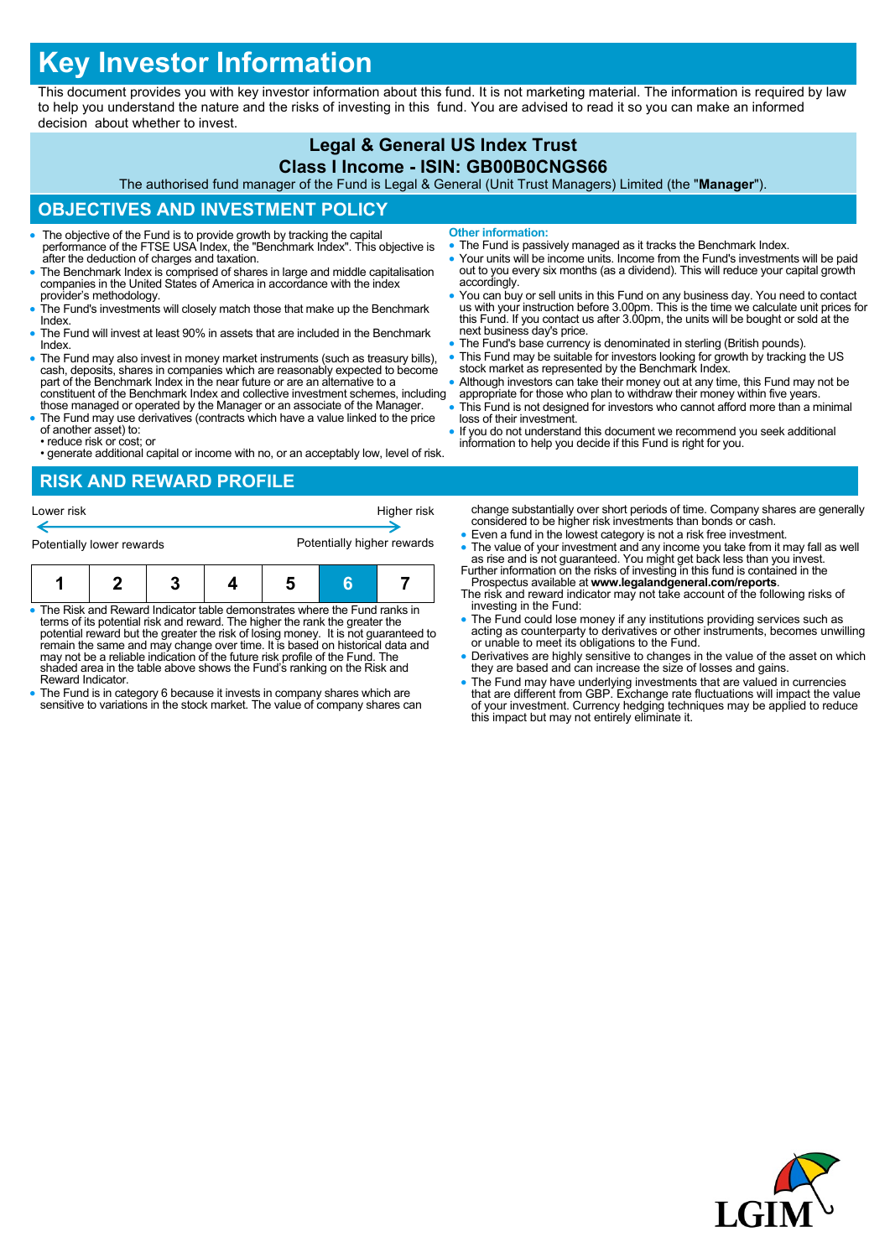# **Key Investor Information**

This document provides you with key investor information about this fund. It is not marketing material. The information is required by law to help you understand the nature and the risks of investing in this fund. You are advised to read it so you can make an informed decision about whether to invest.

## **Legal & General US Index Trust**

#### **Class I Income - ISIN: GB00B0CNGS66**

The authorised fund manager of the Fund is Legal & General (Unit Trust Managers) Limited (the "**Manager**").

#### **OBJECTIVES AND INVESTMENT POLICY**

- The objective of the Fund is to provide growth by tracking the capital performance of the FTSE USA Index, the "Benchmark Index". This objective is after the deduction of charges and taxation.
- The Benchmark Index is comprised of shares in large and middle capitalisation companies in the United States of America in accordance with the index provider's methodology.
- The Fund's investments will closely match those that make up the Benchmark Index.
- The Fund will invest at least 90% in assets that are included in the Benchmark Index.
- The Fund may also invest in money market instruments (such as treasury bills), cash, deposits, shares in companies which are reasonably expected to become part of the Benchmark Index in the near future or are an alternat constituent of the Benchmark Index and collective investment schemes, including
- those managed or operated by the Manager or an associate of the Manager. The Fund may use derivatives (contracts which have a value linked to the price
- of another asset) to: • reduce risk or cost; or
- generate additional capital or income with no, or an acceptably low, level of risk.

**Other information:**

- The Fund is passively managed as it tracks the Benchmark Index.
- Your units will be income units. Income from the Fund's investments will be paid out to you every six months (as a dividend). This will reduce your capital growth accordingly.
- You can buy or sell units in this Fund on any business day. You need to contact us with your instruction before 3.00pm. This is the time we calculate unit prices for this Fund. If you contact us after 3.00pm, the units will be bought or sold at the next business day's price.
- The Fund's base currency is denominated in sterling (British pounds). This Fund may be suitable for investors looking for growth by tracking the US
- stock market as represented by the Benchmark Index.
- Although investors can take their money out at any time, this Fund may not be appropriate for those who plan to withdraw their money within five years.
- This Fund is not designed for investors who cannot afford more than a minimal loss of their investment.
- If you do not understand this document we recommend you seek additional information to help you decide if this Fund is right for you.

#### **RISK AND REWARD PROFILE**

| Lower risk                |  |  |  | Higher risk                |   |  |
|---------------------------|--|--|--|----------------------------|---|--|
| Potentially lower rewards |  |  |  | Potentially higher rewards |   |  |
| п                         |  |  |  | b                          | 6 |  |

- The Risk and Reward Indicator table demonstrates where the Fund ranks in terms of its potential risk and reward. The higher the rank the greater the potential reward but the greater the risk of losing money. It is not guaranteed to remain the same and may change over time. It is based on historical data and may not be a reliable indication of the future risk profile of the Fund. The shaded area in the table above shows the Fund's ranking on the Risk and Reward Indicator.
- The Fund is in category 6 because it invests in company shares which are sensitive to variations in the stock market. The value of company shares can
- change substantially over short periods of time. Company shares are generally considered to be higher risk investments than bonds or cash.
- Even a fund in the lowest category is not a risk free investment.
- The value of your investment and any income you take from it may fall as well as rise and is not guaranteed. You might get back less than you invest. Further information on the risks of investing in this fund is containe
- Prospectus available at **www.legalandgeneral.com/reports**. The risk and reward indicator may not take account of the following risks of
- investing in the Fund: The Fund could lose money if any institutions providing services such as acting as counterparty to derivatives or other instruments, becomes unwilling or unable to meet its obligations to the Fund.
- Derivatives are highly sensitive to changes in the value of the asset on which they are based and can increase the size of losses and gains.
- The Fund may have underlying investments that are valued in currencies<br>that are different from GBP. Exchange rate fluctuations will impact the value<br>of your investment. Currency hedging techniques may be applied to reduc